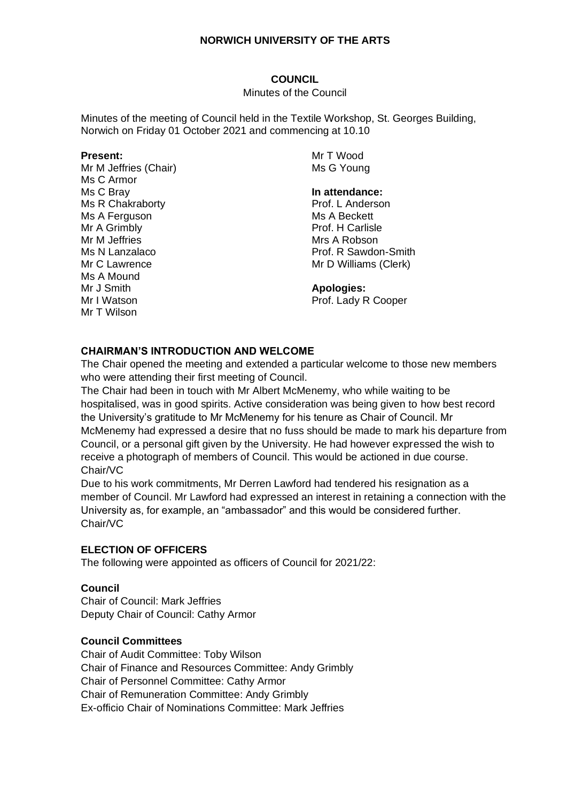### **COUNCIL**

#### Minutes of the Council

Minutes of the meeting of Council held in the Textile Workshop, St. Georges Building, Norwich on Friday 01 October 2021 and commencing at 10.10

#### **Present:**

Mr M Jeffries (Chair) Ms C Armor Ms C Bray Ms R Chakraborty Ms A Ferguson Mr A Grimbly Mr M Jeffries Ms N Lanzalaco Mr C Lawrence Ms A Mound Mr J Smith Mr I Watson Mr T Wilson

Mr T Wood Ms G Young

#### **In attendance:**

Prof. L Anderson Ms A Beckett Prof. H Carlisle Mrs A Robson Prof. R Sawdon-Smith Mr D Williams (Clerk)

#### **Apologies:**

Prof. Lady R Cooper

#### **CHAIRMAN'S INTRODUCTION AND WELCOME**

The Chair opened the meeting and extended a particular welcome to those new members who were attending their first meeting of Council.

The Chair had been in touch with Mr Albert McMenemy, who while waiting to be hospitalised, was in good spirits. Active consideration was being given to how best record the University's gratitude to Mr McMenemy for his tenure as Chair of Council. Mr McMenemy had expressed a desire that no fuss should be made to mark his departure from Council, or a personal gift given by the University. He had however expressed the wish to receive a photograph of members of Council. This would be actioned in due course. Chair/VC

Due to his work commitments, Mr Derren Lawford had tendered his resignation as a member of Council. Mr Lawford had expressed an interest in retaining a connection with the University as, for example, an "ambassador" and this would be considered further. Chair/VC

## **ELECTION OF OFFICERS**

The following were appointed as officers of Council for 2021/22:

## **Council**

Chair of Council: Mark Jeffries Deputy Chair of Council: Cathy Armor

#### **Council Committees**

Chair of Audit Committee: Toby Wilson Chair of Finance and Resources Committee: Andy Grimbly Chair of Personnel Committee: Cathy Armor Chair of Remuneration Committee: Andy Grimbly Ex-officio Chair of Nominations Committee: Mark Jeffries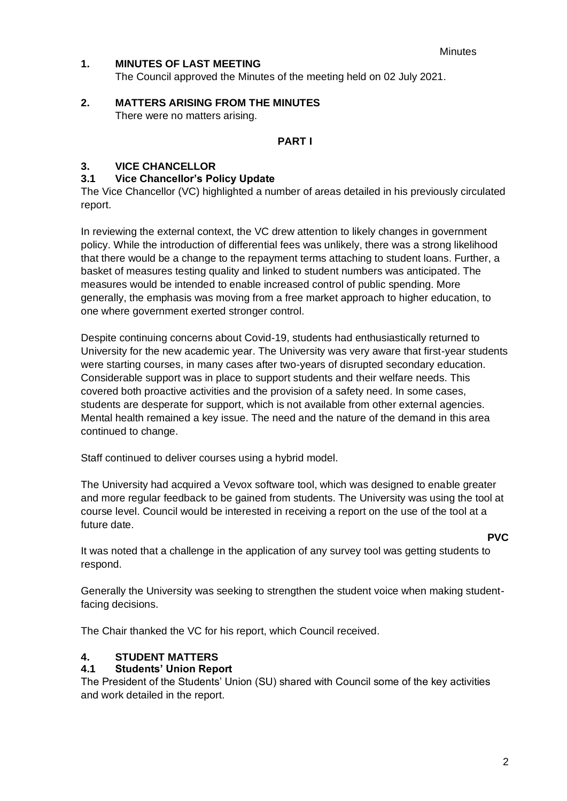# **1. MINUTES OF LAST MEETING**

The Council approved the Minutes of the meeting held on 02 July 2021.

**2. MATTERS ARISING FROM THE MINUTES** There were no matters arising.

## **PART I**

# **3. VICE CHANCELLOR**

## **3.1 Vice Chancellor's Policy Update**

The Vice Chancellor (VC) highlighted a number of areas detailed in his previously circulated report.

In reviewing the external context, the VC drew attention to likely changes in government policy. While the introduction of differential fees was unlikely, there was a strong likelihood that there would be a change to the repayment terms attaching to student loans. Further, a basket of measures testing quality and linked to student numbers was anticipated. The measures would be intended to enable increased control of public spending. More generally, the emphasis was moving from a free market approach to higher education, to one where government exerted stronger control.

Despite continuing concerns about Covid-19, students had enthusiastically returned to University for the new academic year. The University was very aware that first-year students were starting courses, in many cases after two-years of disrupted secondary education. Considerable support was in place to support students and their welfare needs. This covered both proactive activities and the provision of a safety need. In some cases, students are desperate for support, which is not available from other external agencies. Mental health remained a key issue. The need and the nature of the demand in this area continued to change.

Staff continued to deliver courses using a hybrid model.

The University had acquired a Vevox software tool, which was designed to enable greater and more regular feedback to be gained from students. The University was using the tool at course level. Council would be interested in receiving a report on the use of the tool at a future date.

**PVC**

It was noted that a challenge in the application of any survey tool was getting students to respond.

Generally the University was seeking to strengthen the student voice when making studentfacing decisions.

The Chair thanked the VC for his report, which Council received.

#### **4. STUDENT MATTERS**

#### **4.1 Students' Union Report**

The President of the Students' Union (SU) shared with Council some of the key activities and work detailed in the report.